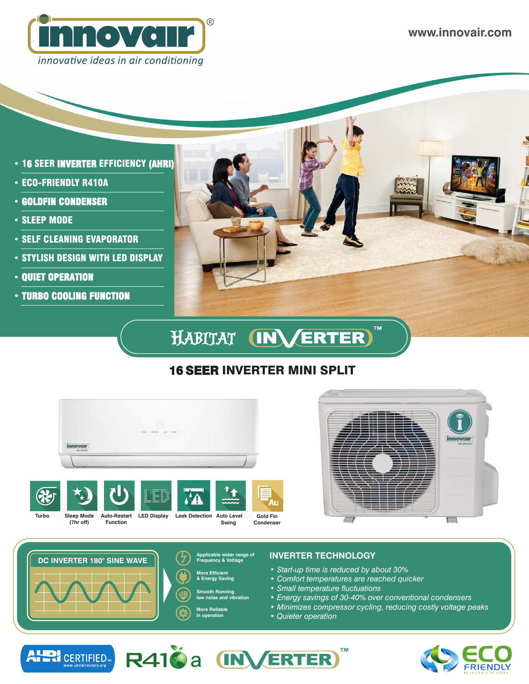

**www.innovair.com**

- 16 SEER INVERTER EFFICIENCY (AHRI)
- ECO-FRIENDLY R410A
- GOLDFIN CONDENSER
- SLEEP MODE
- SELF CLEANING EVAPORATOR
- STYLISH DESIGN WITH LED DISPLAY
- QUIET OPERATION

ALLD!

**CERTIFIED** 

• TURBO COOLING FUNCTION



#### HABITAT **CINX ERTER**

# 16 SEER INVERTER MINI SPLIT







### **Applicable wider range of INVERTER TECHNOLOGY Frequency & Voltage**

- *Start-up time is reduced by about 30%*
- *Comfort temperatures are reached quicker*
- *Small temperature fluctuations*
- *Energy savings of 30-40% over conventional condensers*
- *Minimizes compressor cycling, reducing costly voltage peaks*
- *Quieter operation*

R410 a **INVERTER**